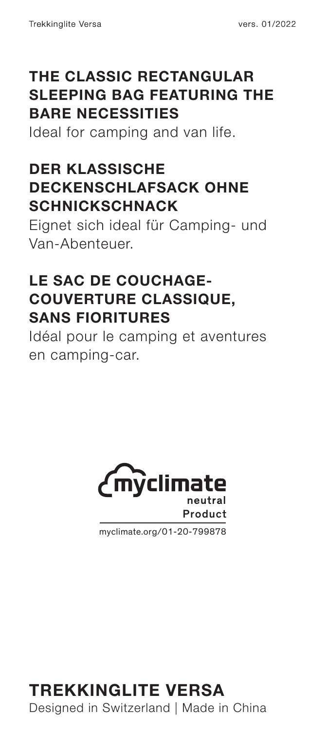## **THE CLASSIC RECTANGULAR SLEEPING BAG FEATURING THE BARE NECESSITIES**

Ideal for camping and van life.

## **DER KLASSISCHE DECKENSCHLAFSACK OHNE SCHNICKSCHNACK**

Eignet sich ideal für Camping- und Van-Abenteuer.

## **LE SAC DE COUCHAGE-COUVERTURE CLASSIQUE, SANS FIORITURES**

Idéal pour le camping et aventures en camping-car.



myclimate.org/01-20-799878

# **TREKKINGLITE VERSA**

Designed in Switzerland | Made in China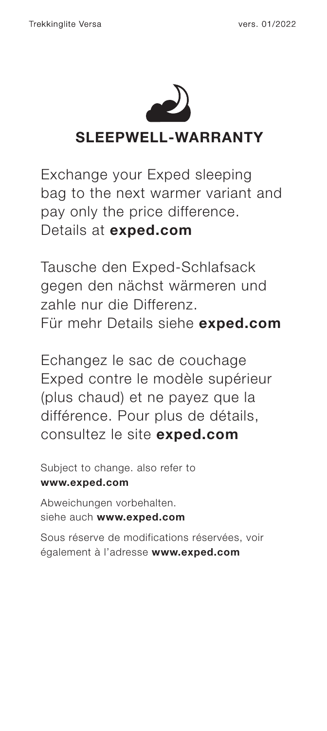

## **SLEEPWELL-WARRANTY**

Exchange your Exped sleeping bag to the next warmer variant and pay only the price difference. Details at **exped.com**

Tausche den Exped-Schlafsack gegen den nächst wärmeren und zahle nur die Differenz. Für mehr Details siehe **exped.com**

Echangez le sac de couchage Exped contre le modèle supérieur (plus chaud) et ne payez que la différence. Pour plus de détails, consultez le site **exped.com**

Subject to change. also refer to **www.exped.com** Abweichungen vorbehalten.

siehe auch **www.exped.com**

Sous réserve de modifications réservées, voir également à l'adresse **www.exped.com**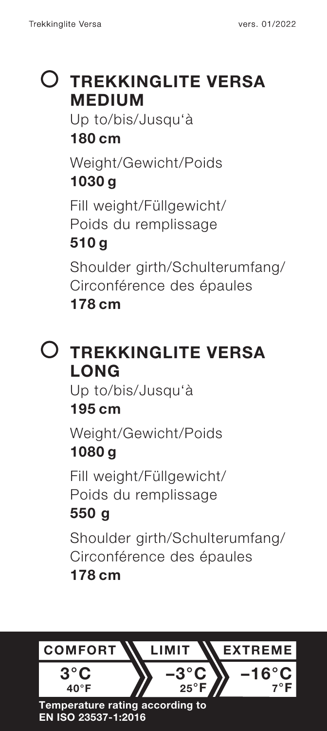# **TREKKINGLITE VERSA MEDIUM**

Up to/bis/Jusqu'à **180 cm**

Weight/Gewicht/Poids **1030 g**

Fill weight/Füllgewicht/ Poids du remplissage

## **510 g**

Shoulder girth/Schulterumfang/ Circonférence des épaules **178 cm**

# **TREKKINGLITE VERSA LONG**

Up to/bis/Jusqu'à

## **195 cm**

Weight/Gewicht/Poids **1080 g**

Fill weight/Füllgewicht/

Poids du remplissage

## **550 g**

Shoulder girth/Schulterumfang/ Circonférence des épaules

## **178 cm**



#### **EN ISO 23537-1:2016**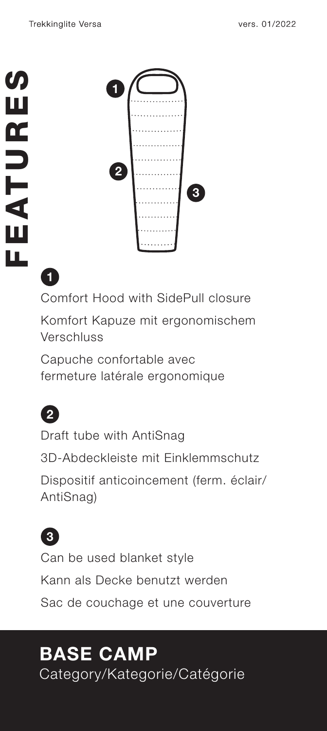

Comfort Hood with SidePull closure Komfort Kapuze mit ergonomischem Verschluss

Capuche confortable avec fermeture latérale ergonomique



**1**

Draft tube with AntiSnag 3D-Abdeckleiste mit Einklemmschutz Dispositif anticoincement (ferm. éclair/ AntiSnag)



Can be used blanket style Kann als Decke benutzt werden Sac de couchage et une couverture

# **BASE CAMP**

Category/Kategorie/Catégorie